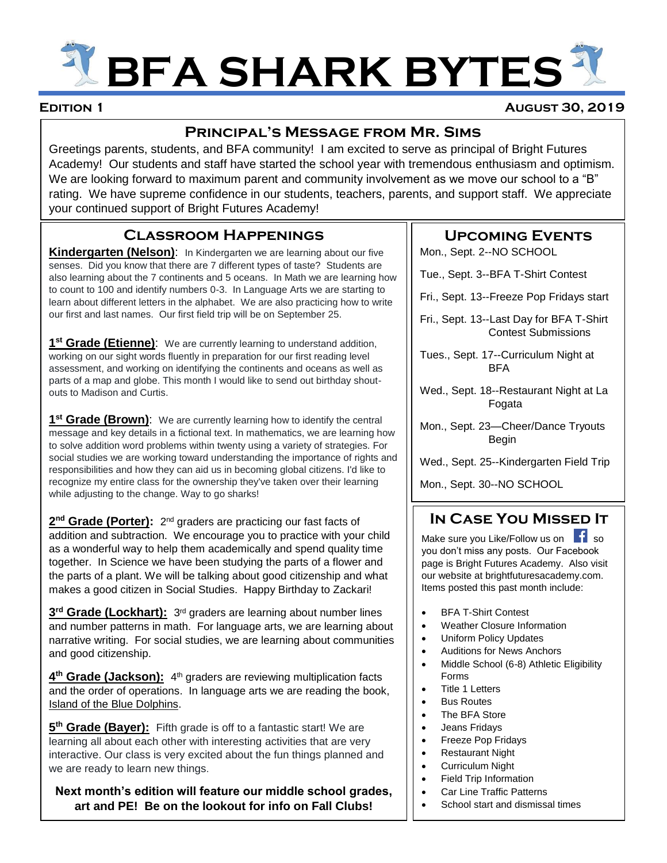# **BFA SHARK BYTES**

#### **Edition 1 August 30, 2019**

#### **Principal's Message from Mr. Sims**

Greetings parents, students, and BFA community! I am excited to serve as principal of Bright Futures Academy! Our students and staff have started the school year with tremendous enthusiasm and optimism. We are looking forward to maximum parent and community involvement as we move our school to a "B" rating. We have supreme confidence in our students, teachers, parents, and support staff. We appreciate your continued support of Bright Futures Academy!

## **Classroom Happenings**

**Kindergarten (Nelson):** In Kindergarten we are learning about our five senses. Did you know that there are 7 different types of taste? Students are also learning about the 7 continents and 5 oceans. In Math we are learning how to count to 100 and identify numbers 0-3. In Language Arts we are starting to learn about different letters in the alphabet. We are also practicing how to write our first and last names. Our first field trip will be on September 25.

1<sup>st</sup> Grade (Etienne): We are currently learning to understand addition, working on our sight words fluently in preparation for our first reading level assessment, and working on identifying the continents and oceans as well as parts of a map and globe. This month I would like to send out birthday shoutouts to Madison and Curtis.

1<sup>st</sup> Grade (Brown): We are currently learning how to identify the central message and key details in a fictional text. In mathematics, we are learning how to solve addition word problems within twenty using a variety of strategies. For social studies we are working toward understanding the importance of rights and responsibilities and how they can aid us in becoming global citizens. I'd like to recognize my entire class for the ownership they've taken over their learning while adjusting to the change. Way to go sharks!

2<sup>nd</sup> Grade (Porter): 2<sup>nd</sup> graders are practicing our fast facts of addition and subtraction. We encourage you to practice with your child as a wonderful way to help them academically and spend quality time together. In Science we have been studying the parts of a flower and the parts of a plant. We will be talking about good citizenship and what makes a good citizen in Social Studies. Happy Birthday to Zackari!

3<sup>rd</sup> Grade (Lockhart): 3<sup>rd</sup> graders are learning about number lines and number patterns in math. For language arts, we are learning about narrative writing. For social studies, we are learning about communities and good citizenship.

4<sup>th</sup> Grade (Jackson): 4<sup>th</sup> graders are reviewing multiplication facts and the order of operations. In language arts we are reading the book, Island of the Blue Dolphins.

**5<sup>th</sup> Grade (Bayer):** Fifth grade is off to a fantastic start! We are learning all about each other with interesting activities that are very interactive. Our class is very excited about the fun things planned and we are ready to learn new things.

**Next month's edition will feature our middle school grades, art and PE! Be on the lookout for info on Fall Clubs!**

#### **Upcoming Events**

Mon., Sept. 2--NO SCHOOL

Tue., Sept. 3--BFA T-Shirt Contest

- Fri., Sept. 13--Freeze Pop Fridays start
- Fri., Sept. 13--Last Day for BFA T-Shirt Contest Submissions
- Tues., Sept. 17--Curriculum Night at BFA
- Wed., Sept. 18--Restaurant Night at La Fogata
- Mon., Sept. 23—Cheer/Dance Tryouts Begin
- Wed., Sept. 25--Kindergarten Field Trip

Mon., Sept. 30--NO SCHOOL

## **In Case You Missed It**

Make sure you Like/Follow us on so you don't miss any posts. Our Facebook page is Bright Futures Academy. Also visit our website at brightfuturesacademy.com. Items posted this past month include:

- BFA T-Shirt Contest
- Weather Closure Information
- Uniform Policy Updates
- Auditions for News Anchors
- Middle School (6-8) Athletic Eligibility Forms
- Title 1 Letters
- **Bus Routes**
- The BFA Store
- Jeans Fridays
- Freeze Pop Fridays
- Restaurant Night
- Curriculum Night
- Field Trip Information
- Car Line Traffic Patterns
- School start and dismissal times